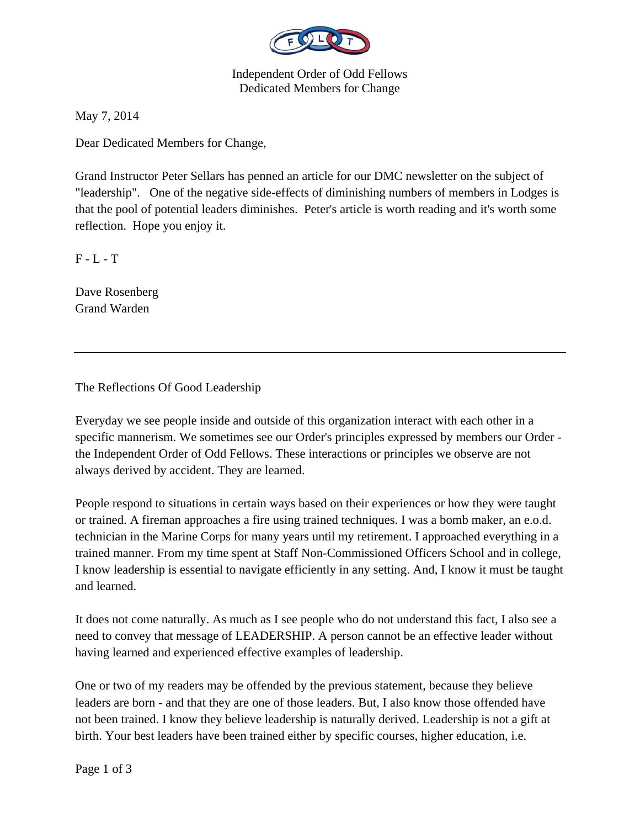

Independent Order of Odd Fellows Dedicated Members for Change

May 7, 2014

Dear Dedicated Members for Change,

Grand Instructor Peter Sellars has penned an article for our DMC newsletter on the subject of "leadership". One of the negative side-effects of diminishing numbers of members in Lodges is that the pool of potential leaders diminishes. Peter's article is worth reading and it's worth some reflection. Hope you enjoy it.

 $F - L - T$ 

Dave Rosenberg Grand Warden

The Reflections Of Good Leadership

Everyday we see people inside and outside of this organization interact with each other in a specific mannerism. We sometimes see our Order's principles expressed by members our Order the Independent Order of Odd Fellows. These interactions or principles we observe are not always derived by accident. They are learned.

People respond to situations in certain ways based on their experiences or how they were taught or trained. A fireman approaches a fire using trained techniques. I was a bomb maker, an e.o.d. technician in the Marine Corps for many years until my retirement. I approached everything in a trained manner. From my time spent at Staff Non-Commissioned Officers School and in college, I know leadership is essential to navigate efficiently in any setting. And, I know it must be taught and learned.

It does not come naturally. As much as I see people who do not understand this fact, I also see a need to convey that message of LEADERSHIP. A person cannot be an effective leader without having learned and experienced effective examples of leadership.

One or two of my readers may be offended by the previous statement, because they believe leaders are born - and that they are one of those leaders. But, I also know those offended have not been trained. I know they believe leadership is naturally derived. Leadership is not a gift at birth. Your best leaders have been trained either by specific courses, higher education, i.e.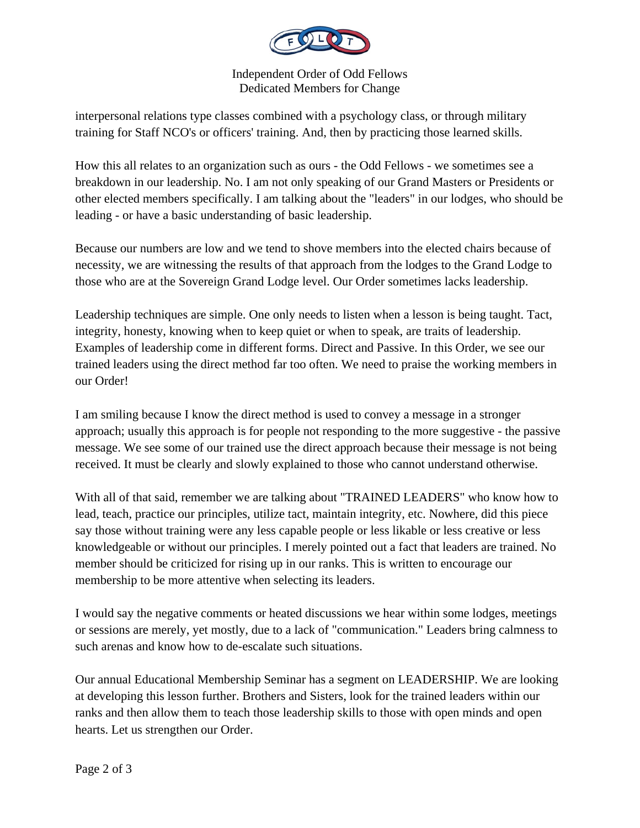

Independent Order of Odd Fellows Dedicated Members for Change

interpersonal relations type classes combined with a psychology class, or through military training for Staff NCO's or officers' training. And, then by practicing those learned skills.

How this all relates to an organization such as ours - the Odd Fellows - we sometimes see a breakdown in our leadership. No. I am not only speaking of our Grand Masters or Presidents or other elected members specifically. I am talking about the "leaders" in our lodges, who should be leading - or have a basic understanding of basic leadership.

Because our numbers are low and we tend to shove members into the elected chairs because of necessity, we are witnessing the results of that approach from the lodges to the Grand Lodge to those who are at the Sovereign Grand Lodge level. Our Order sometimes lacks leadership.

Leadership techniques are simple. One only needs to listen when a lesson is being taught. Tact, integrity, honesty, knowing when to keep quiet or when to speak, are traits of leadership. Examples of leadership come in different forms. Direct and Passive. In this Order, we see our trained leaders using the direct method far too often. We need to praise the working members in our Order!

I am smiling because I know the direct method is used to convey a message in a stronger approach; usually this approach is for people not responding to the more suggestive - the passive message. We see some of our trained use the direct approach because their message is not being received. It must be clearly and slowly explained to those who cannot understand otherwise.

With all of that said, remember we are talking about "TRAINED LEADERS" who know how to lead, teach, practice our principles, utilize tact, maintain integrity, etc. Nowhere, did this piece say those without training were any less capable people or less likable or less creative or less knowledgeable or without our principles. I merely pointed out a fact that leaders are trained. No member should be criticized for rising up in our ranks. This is written to encourage our membership to be more attentive when selecting its leaders.

I would say the negative comments or heated discussions we hear within some lodges, meetings or sessions are merely, yet mostly, due to a lack of "communication." Leaders bring calmness to such arenas and know how to de-escalate such situations.

Our annual Educational Membership Seminar has a segment on LEADERSHIP. We are looking at developing this lesson further. Brothers and Sisters, look for the trained leaders within our ranks and then allow them to teach those leadership skills to those with open minds and open hearts. Let us strengthen our Order.